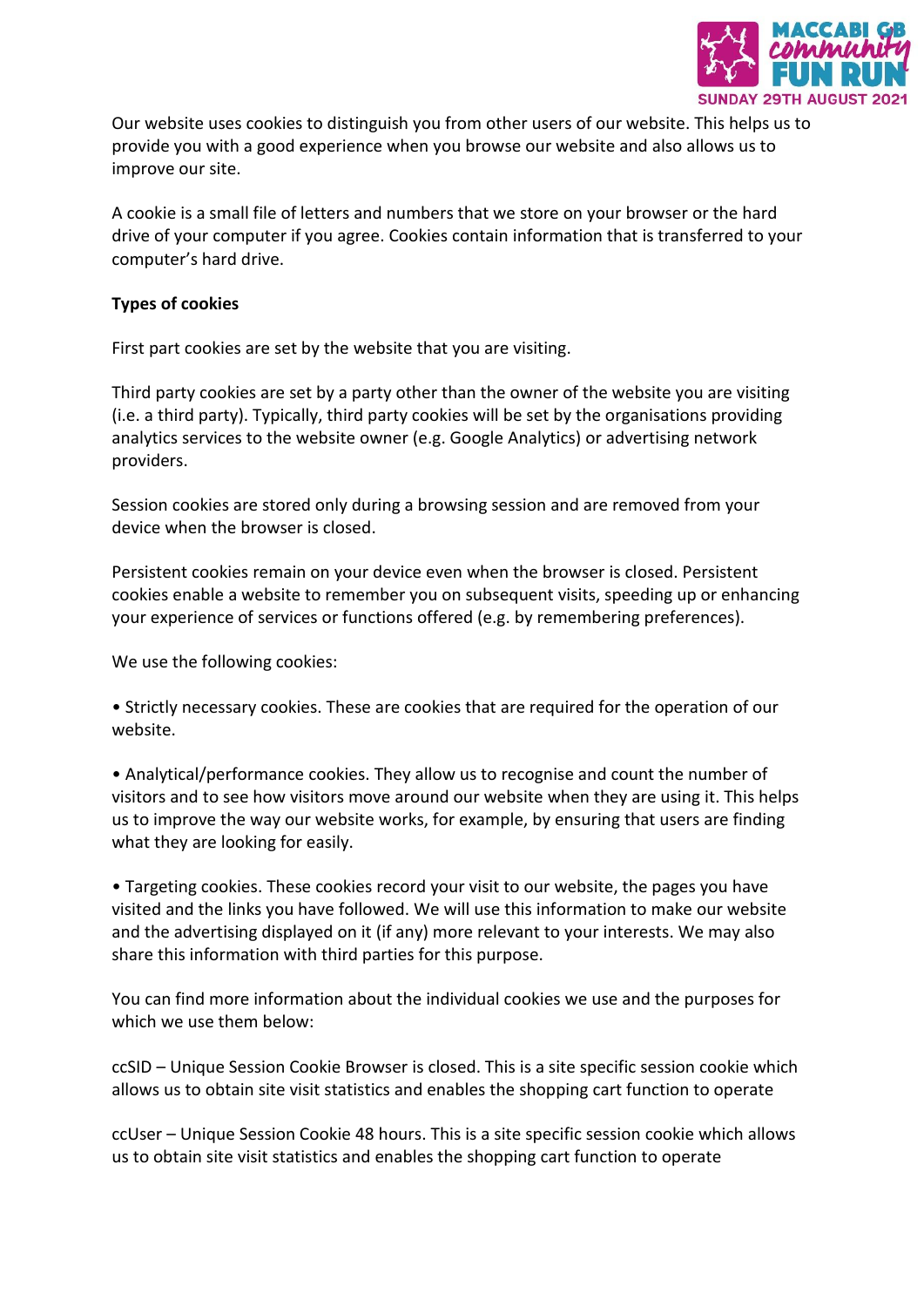

Our website uses cookies to distinguish you from other users of our website. This helps us to provide you with a good experience when you browse our website and also allows us to improve our site.

A cookie is a small file of letters and numbers that we store on your browser or the hard drive of your computer if you agree. Cookies contain information that is transferred to your computer's hard drive.

## **Types of cookies**

First part cookies are set by the website that you are visiting.

Third party cookies are set by a party other than the owner of the website you are visiting (i.e. a third party). Typically, third party cookies will be set by the organisations providing analytics services to the website owner (e.g. Google Analytics) or advertising network providers.

Session cookies are stored only during a browsing session and are removed from your device when the browser is closed.

Persistent cookies remain on your device even when the browser is closed. Persistent cookies enable a website to remember you on subsequent visits, speeding up or enhancing your experience of services or functions offered (e.g. by remembering preferences).

We use the following cookies:

• Strictly necessary cookies. These are cookies that are required for the operation of our website.

• Analytical/performance cookies. They allow us to recognise and count the number of visitors and to see how visitors move around our website when they are using it. This helps us to improve the way our website works, for example, by ensuring that users are finding what they are looking for easily.

• Targeting cookies. These cookies record your visit to our website, the pages you have visited and the links you have followed. We will use this information to make our website and the advertising displayed on it (if any) more relevant to your interests. We may also share this information with third parties for this purpose.

You can find more information about the individual cookies we use and the purposes for which we use them below:

ccSID – Unique Session Cookie Browser is closed. This is a site specific session cookie which allows us to obtain site visit statistics and enables the shopping cart function to operate

ccUser – Unique Session Cookie 48 hours. This is a site specific session cookie which allows us to obtain site visit statistics and enables the shopping cart function to operate